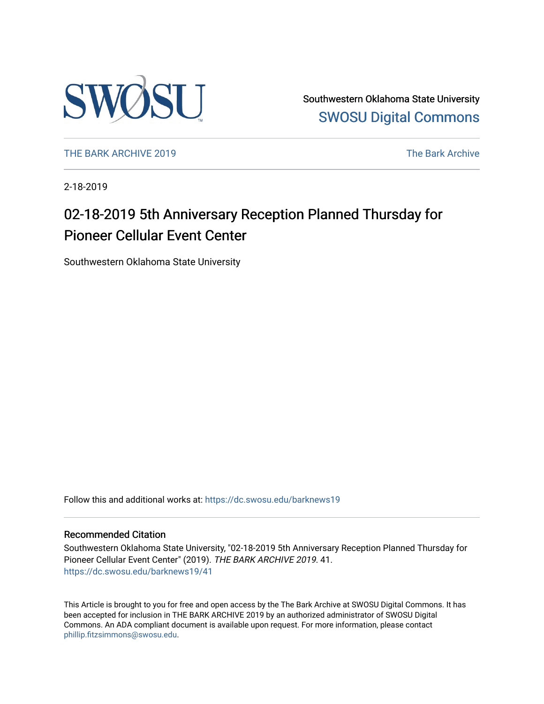

Southwestern Oklahoma State University [SWOSU Digital Commons](https://dc.swosu.edu/) 

[THE BARK ARCHIVE 2019](https://dc.swosu.edu/barknews19) The Bark Archive

2-18-2019

## 02-18-2019 5th Anniversary Reception Planned Thursday for Pioneer Cellular Event Center

Southwestern Oklahoma State University

Follow this and additional works at: [https://dc.swosu.edu/barknews19](https://dc.swosu.edu/barknews19?utm_source=dc.swosu.edu%2Fbarknews19%2F41&utm_medium=PDF&utm_campaign=PDFCoverPages)

### Recommended Citation

Southwestern Oklahoma State University, "02-18-2019 5th Anniversary Reception Planned Thursday for Pioneer Cellular Event Center" (2019). THE BARK ARCHIVE 2019. 41. [https://dc.swosu.edu/barknews19/41](https://dc.swosu.edu/barknews19/41?utm_source=dc.swosu.edu%2Fbarknews19%2F41&utm_medium=PDF&utm_campaign=PDFCoverPages) 

This Article is brought to you for free and open access by the The Bark Archive at SWOSU Digital Commons. It has been accepted for inclusion in THE BARK ARCHIVE 2019 by an authorized administrator of SWOSU Digital Commons. An ADA compliant document is available upon request. For more information, please contact [phillip.fitzsimmons@swosu.edu](mailto:phillip.fitzsimmons@swosu.edu).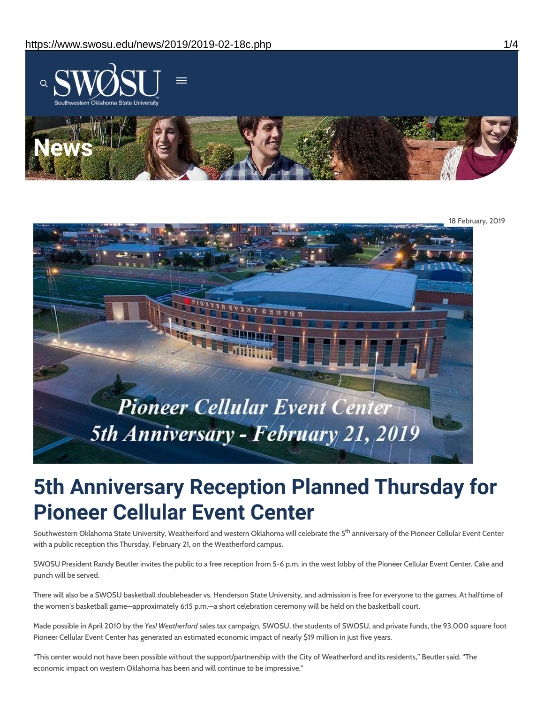

18 February, 2019 Pioneer Cellular Event Center 5th Anniversary - February 21, 2019

# **5th Anniversary Reception Planned Thursday for Pioneer Cellular Event Center**

Southwestern Oklahoma State University, Weatherford and western Oklahoma will celebrate the 5<sup>th</sup> anniversary of the Pioneer Cellular Event Center with a public reception this Thursday, February 21, on the Weatherford campus.

SWOSU President Randy Beutler invites the public to a free reception from 5-6 p.m. in the west lobby of the Pioneer Cellular Event Center. Cake and punch will be served.

There will also be a SWOSU basketball doubleheader vs. Henderson State University, and admission is free for everyone to the games. At halftime of the women's basketball game—approximately 6:15 p.m.—a short celebration ceremony will be held on the basketball court.

Made possible in April 2010 by the *Yes! Weatherford* sales tax campaign, SWOSU, the students of SWOSU, and private funds, the 93,000 square foot Pioneer Cellular Event Center has generated an estimated economic impact of nearly \$19 million in just five years.

"This center would not have been possible without the support/partnership with the City of Weatherford and its residents," Beutler said. "The economic impact on western Oklahoma has been and will continue to be impressive."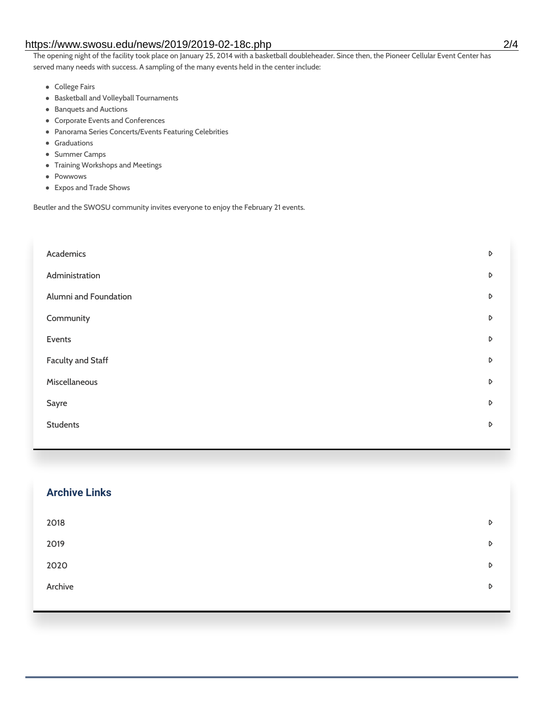### https://www.swosu.edu/news/2019/2019-02-18c.php 2/4

The opening night of the facility took place on January 25, 2014 with a basketball doubleheader. Since then, the Pioneer Cellular Event Center has served many needs with success. A sampling of the many events held in the center include:

- College Fairs
- Basketball and Volleyball Tournaments
- Banquets and Auctions
- Corporate Events and Conferences
- Panorama Series Concerts/Events Featuring Celebrities
- **•** Graduations
- Summer Camps
- Training Workshops and Meetings
- Powwows
- Expos and Trade Shows

Beutler and the SWOSU community invites everyone to enjoy the February 21 events.

| Academics             | D |
|-----------------------|---|
| Administration        | D |
| Alumni and Foundation | D |
| Community             | D |
| Events                | D |
| Faculty and Staff     | D |
| Miscellaneous         | D |
| Sayre                 | D |
| <b>Students</b>       | D |
|                       |   |

| <b>Archive Links</b> |   |
|----------------------|---|
| 2018                 | D |
| 2019                 | D |
| 2020                 | D |
| Archive              | D |
|                      |   |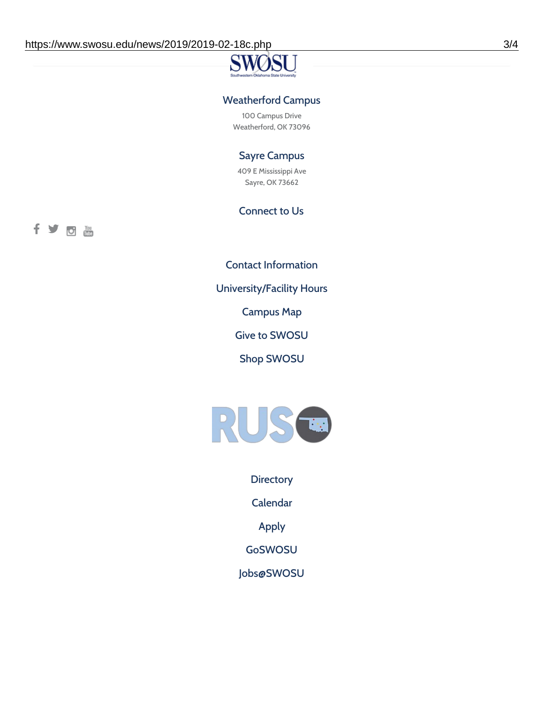### Weatherford Campus

100 Campus Drive Weatherford, OK 73096

### Sayre Campus

409 E Mississippi Ave Sayre, OK 73662

### Connect to Us

fyoth

Contact [Information](https://www.swosu.edu/about/contact.php)

[University/Facility](https://www.swosu.edu/about/operating-hours.php) Hours

[Campus](https://map.concept3d.com/?id=768#!ct/10964,10214,10213,10212,10205,10204,10203,10202,10136,10129,10128,0,31226,10130,10201,10641,0) Map

Give to [SWOSU](https://standingfirmly.com/donate)

Shop [SWOSU](https://shopswosu.merchorders.com/)



**[Directory](https://www.swosu.edu/directory/index.php)** 

[Calendar](https://eventpublisher.dudesolutions.com/swosu/)

[Apply](https://www.swosu.edu/admissions/apply-to-swosu.php)

[GoSWOSU](https://qlsso.quicklaunchsso.com/home/1267)

[Jobs@SWOSU](https://swosu.csod.com/ux/ats/careersite/1/home?c=swosu)